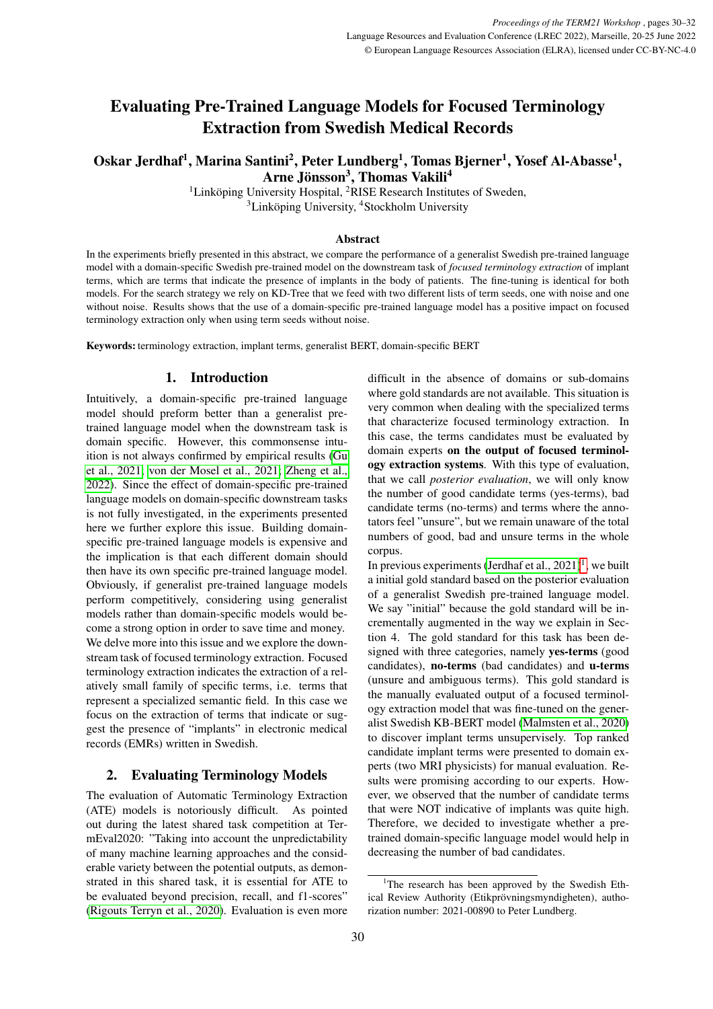# Evaluating Pre-Trained Language Models for Focused Terminology Extraction from Swedish Medical Records

# Oskar Jerdhaf<sup>1</sup>, Marina Santini<sup>2</sup>, Peter Lundberg<sup>1</sup>, Tomas Bjerner<sup>1</sup>, Yosef Al-Abasse<sup>1</sup>, Arne Jönsson<sup>3</sup>, Thomas Vakili<sup>4</sup>

 ${}^{1}$ Linköping University Hospital,  ${}^{2}$ RISE Research Institutes of Sweden,

<sup>3</sup>Linköping University, <sup>4</sup>Stockholm University

#### Abstract

In the experiments briefly presented in this abstract, we compare the performance of a generalist Swedish pre-trained language model with a domain-specific Swedish pre-trained model on the downstream task of *focused terminology extraction* of implant terms, which are terms that indicate the presence of implants in the body of patients. The fine-tuning is identical for both models. For the search strategy we rely on KD-Tree that we feed with two different lists of term seeds, one with noise and one without noise. Results shows that the use of a domain-specific pre-trained language model has a positive impact on focused terminology extraction only when using term seeds without noise.

Keywords: terminology extraction, implant terms, generalist BERT, domain-specific BERT

# 1. Introduction

Intuitively, a domain-specific pre-trained language model should preform better than a generalist pretrained language model when the downstream task is domain specific. However, this commonsense intuition is not always confirmed by empirical results [\(Gu](#page-2-0) [et al., 2021;](#page-2-0) [von der Mosel et al., 2021;](#page-2-1) [Zheng et al.,](#page-2-2) [2022\)](#page-2-2). Since the effect of domain-specific pre-trained language models on domain-specific downstream tasks is not fully investigated, in the experiments presented here we further explore this issue. Building domainspecific pre-trained language models is expensive and the implication is that each different domain should then have its own specific pre-trained language model. Obviously, if generalist pre-trained language models perform competitively, considering using generalist models rather than domain-specific models would become a strong option in order to save time and money. We delve more into this issue and we explore the downstream task of focused terminology extraction. Focused terminology extraction indicates the extraction of a relatively small family of specific terms, i.e. terms that represent a specialized semantic field. In this case we focus on the extraction of terms that indicate or suggest the presence of "implants" in electronic medical records (EMRs) written in Swedish.

# 2. Evaluating Terminology Models

The evaluation of Automatic Terminology Extraction (ATE) models is notoriously difficult. As pointed out during the latest shared task competition at TermEval2020: "Taking into account the unpredictability of many machine learning approaches and the considerable variety between the potential outputs, as demonstrated in this shared task, it is essential for ATE to be evaluated beyond precision, recall, and f1-scores" [\(Rigouts Terryn et al., 2020\)](#page-2-3). Evaluation is even more

difficult in the absence of domains or sub-domains where gold standards are not available. This situation is very common when dealing with the specialized terms that characterize focused terminology extraction. In this case, the terms candidates must be evaluated by domain experts on the output of focused terminology extraction systems. With this type of evaluation, that we call *posterior evaluation*, we will only know the number of good candidate terms (yes-terms), bad candidate terms (no-terms) and terms where the annotators feel "unsure", but we remain unaware of the total numbers of good, bad and unsure terms in the whole corpus.

In previous experiments (Jerdhaf et al.,  $2021$  $2021$ )<sup>1</sup>, we built a initial gold standard based on the posterior evaluation of a generalist Swedish pre-trained language model. We say "initial" because the gold standard will be incrementally augmented in the way we explain in Section 4. The gold standard for this task has been designed with three categories, namely yes-terms (good candidates), no-terms (bad candidates) and u-terms (unsure and ambiguous terms). This gold standard is the manually evaluated output of a focused terminology extraction model that was fine-tuned on the generalist Swedish KB-BERT model [\(Malmsten et al., 2020\)](#page-2-5) to discover implant terms unsupervisely. Top ranked candidate implant terms were presented to domain experts (two MRI physicists) for manual evaluation. Results were promising according to our experts. However, we observed that the number of candidate terms that were NOT indicative of implants was quite high. Therefore, we decided to investigate whether a pretrained domain-specific language model would help in decreasing the number of bad candidates.

<span id="page-0-0"></span><sup>&</sup>lt;sup>1</sup>The research has been approved by the Swedish Ethical Review Authority (Etikprövningsmyndigheten), authorization number: 2021-00890 to Peter Lundberg.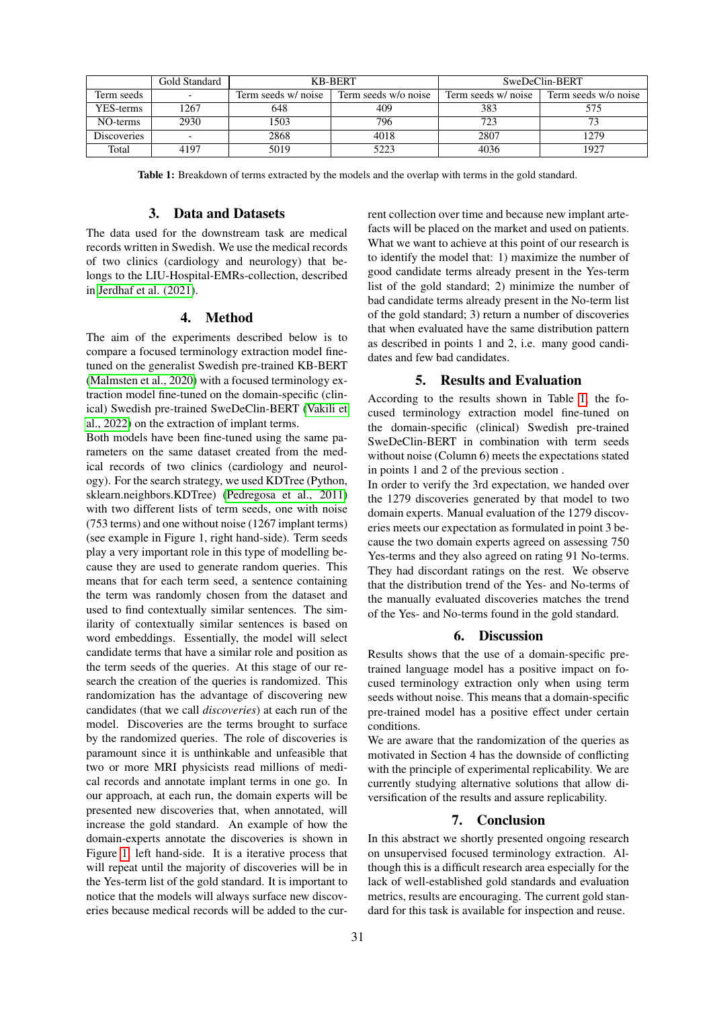<span id="page-1-0"></span>

|                    | Gold Standard |                     | <b>KB-BERT</b>       | SweDeClin-BERT      |                      |
|--------------------|---------------|---------------------|----------------------|---------------------|----------------------|
| Term seeds         |               | Term seeds w/ noise | Term seeds w/o noise | Term seeds w/ noise | Term seeds w/o noise |
| YES-terms          | 1267          | 648                 | 409                  | 383                 | 575                  |
| NO-terms           | 2930          | 1503                | 796                  | 723                 |                      |
| <b>Discoveries</b> |               | 2868                | 4018                 | 2807                | 1279                 |
| Total              | 4197          | 5019                | 5223                 | 4036                | 1927                 |

Table 1: Breakdown of terms extracted by the models and the overlap with terms in the gold standard.

#### 3. Data and Datasets

The data used for the downstream task are medical records written in Swedish. We use the medical records of two clinics (cardiology and neurology) that belongs to the LIU-Hospital-EMRs-collection, described in [Jerdhaf et al. \(2021\)](#page-2-4).

#### 4. Method

The aim of the experiments described below is to compare a focused terminology extraction model finetuned on the generalist Swedish pre-trained KB-BERT [\(Malmsten et al., 2020\)](#page-2-5) with a focused terminology extraction model fine-tuned on the domain-specific (clinical) Swedish pre-trained SweDeClin-BERT [\(Vakili et](#page-2-6) [al., 2022\)](#page-2-6) on the extraction of implant terms.

Both models have been fine-tuned using the same parameters on the same dataset created from the medical records of two clinics (cardiology and neurology). For the search strategy, we used KDTree (Python, sklearn.neighbors.KDTree) [\(Pedregosa et al., 2011\)](#page-2-7) with two different lists of term seeds, one with noise (753 terms) and one without noise (1267 implant terms) (see example in Figure 1, right hand-side). Term seeds play a very important role in this type of modelling because they are used to generate random queries. This means that for each term seed, a sentence containing the term was randomly chosen from the dataset and used to find contextually similar sentences. The similarity of contextually similar sentences is based on word embeddings. Essentially, the model will select candidate terms that have a similar role and position as the term seeds of the queries. At this stage of our research the creation of the queries is randomized. This randomization has the advantage of discovering new candidates (that we call *discoveries*) at each run of the model. Discoveries are the terms brought to surface by the randomized queries. The role of discoveries is paramount since it is unthinkable and unfeasible that two or more MRI physicists read millions of medical records and annotate implant terms in one go. In our approach, at each run, the domain experts will be presented new discoveries that, when annotated, will increase the gold standard. An example of how the domain-experts annotate the discoveries is shown in Figure [1,](#page-2-8) left hand-side. It is a iterative process that will repeat until the majority of discoveries will be in the Yes-term list of the gold standard. It is important to notice that the models will always surface new discoveries because medical records will be added to the current collection over time and because new implant artefacts will be placed on the market and used on patients. What we want to achieve at this point of our research is to identify the model that: 1) maximize the number of good candidate terms already present in the Yes-term list of the gold standard; 2) minimize the number of bad candidate terms already present in the No-term list of the gold standard; 3) return a number of discoveries that when evaluated have the same distribution pattern as described in points 1 and 2, i.e. many good candidates and few bad candidates.

#### 5. Results and Evaluation

According to the results shown in Table [1,](#page-1-0) the focused terminology extraction model fine-tuned on the domain-specific (clinical) Swedish pre-trained SweDeClin-BERT in combination with term seeds without noise (Column 6) meets the expectations stated in points 1 and 2 of the previous section .

In order to verify the 3rd expectation, we handed over the 1279 discoveries generated by that model to two domain experts. Manual evaluation of the 1279 discoveries meets our expectation as formulated in point 3 because the two domain experts agreed on assessing 750 Yes-terms and they also agreed on rating 91 No-terms. They had discordant ratings on the rest. We observe that the distribution trend of the Yes- and No-terms of the manually evaluated discoveries matches the trend of the Yes- and No-terms found in the gold standard.

#### 6. Discussion

Results shows that the use of a domain-specific pretrained language model has a positive impact on focused terminology extraction only when using term seeds without noise. This means that a domain-specific pre-trained model has a positive effect under certain conditions.

We are aware that the randomization of the queries as motivated in Section 4 has the downside of conflicting with the principle of experimental replicability. We are currently studying alternative solutions that allow diversification of the results and assure replicability.

# 7. Conclusion

In this abstract we shortly presented ongoing research on unsupervised focused terminology extraction. Although this is a difficult research area especially for the lack of well-established gold standards and evaluation metrics, results are encouraging. The current gold standard for this task is available for inspection and reuse.